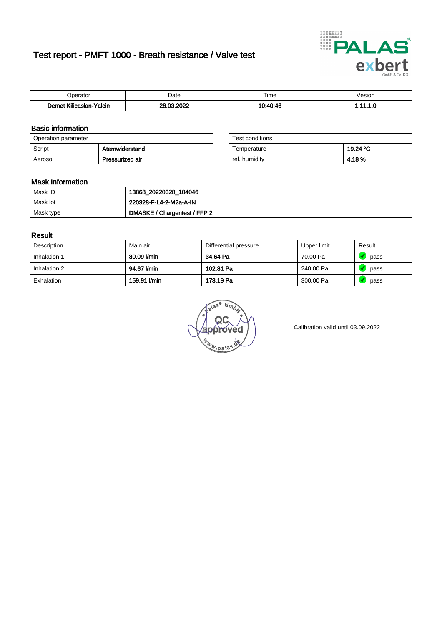# Test report - PMFT 1000 - Breath resistance / Valve test



| maxima                             | Date               | $- \cdot$<br>Гіmе<br>. | /esion<br>. |
|------------------------------------|--------------------|------------------------|-------------|
| <br><b>Yalcin</b><br>.slan<br>،ulr | <b>COOL</b><br>ne. | 10.10.11               | .           |

### Basic information

| Operation parameter |                 | Test conditions |          |
|---------------------|-----------------|-----------------|----------|
| Script              | Atemwiderstand  | Temperature     | 19.24 °C |
| Aerosol             | Pressurized air | rel. humidity   | 4.18%    |

| Test conditions |          |
|-----------------|----------|
| Temperature     | 19.24 °C |
| rel. humidity   | 4.18%    |

#### Mask information

| Mask ID                | 13868_20220328_104046        |
|------------------------|------------------------------|
| Mask lot               | 220328-F-L4-2-M2a-A-IN       |
| <sup>I</sup> Mask type | DMASKE / Chargentest / FFP 2 |

### Result

| Description  | Main air     | Differential pressure | Upper limit | Result |
|--------------|--------------|-----------------------|-------------|--------|
| Inhalation 1 | 30.09 l/min  | 34.64 Pa              | 70.00 Pa    | pass   |
| Inhalation 2 | 94.67 l/min  | 102.81 Pa             | 240.00 Pa   | pass   |
| Exhalation   | 159.91 l/min | 173.19 Pa             | 300.00 Pa   | pass   |

G. w.pala

Calibration valid until 03.09.2022